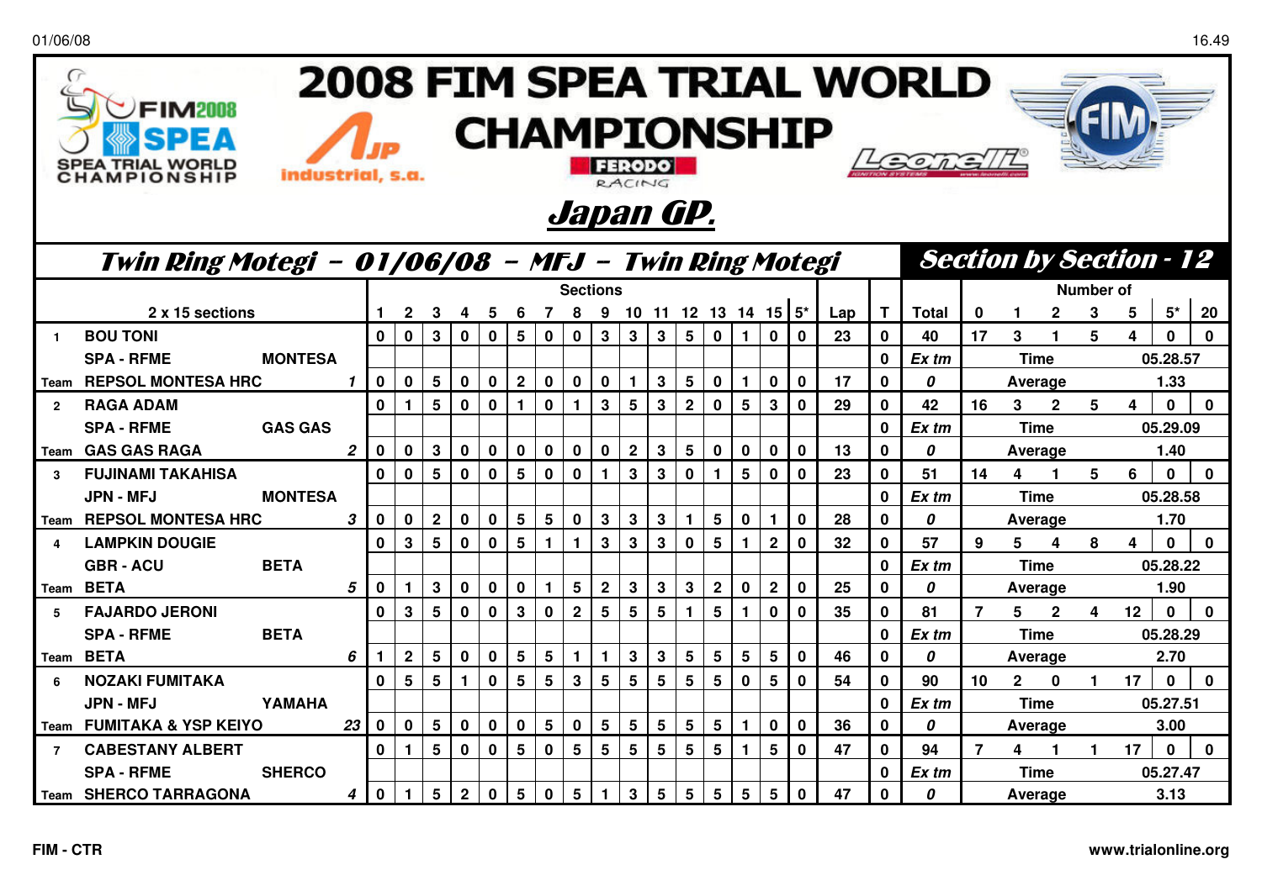01/06/08

 $\sqrt{ }$ 

**FIM2008** 

Þ) F

**SPEA TRIAL WORLD** 

**CHAMPIONSHIP** 

## 2008 FIM SPEA TRIAL WORLD **CHAMPIONSHIP**  $\iota$  $GOTF$ FERODO industrial, s.a.



RACING

|                | Twin Ring Motegi - 01/06/08 - MFJ - Twin Ring Motegi |                |    |              |                |                 |              |              |                 |                 |              |              |                 |             |                 | <b>Section by Section - 12</b> |                 |                         |             |     |              |              |             |              |              |   |          |          |              |  |  |
|----------------|------------------------------------------------------|----------------|----|--------------|----------------|-----------------|--------------|--------------|-----------------|-----------------|--------------|--------------|-----------------|-------------|-----------------|--------------------------------|-----------------|-------------------------|-------------|-----|--------------|--------------|-------------|--------------|--------------|---|----------|----------|--------------|--|--|
|                |                                                      |                |    |              |                |                 |              |              | <b>Sections</b> |                 |              |              |                 |             |                 |                                |                 |                         |             |     |              |              |             | Number of    |              |   |          |          |              |  |  |
|                | 2 x 15 sections                                      |                |    |              |                |                 | 4            | 5            |                 |                 |              |              |                 |             |                 |                                |                 | 10 11 12 13 14 15 $5^*$ |             | Lap | T            | <b>Total</b> | 0           |              |              | 3 | 5        | $5^*$    | 20           |  |  |
|                | <b>BOU TONI</b>                                      |                |    | $\bf{0}$     | $\bf{0}$       | 3               | 0            | 0            | 5               | $\bf{0}$        | 0            | 3            | 3               | 3           | 5               | 0                              |                 | 0                       | $\bf{0}$    | 23  | 0            | 40           | 17          | 3            |              | 5 | 4        | $\bf{0}$ | $\mathbf{0}$ |  |  |
|                | <b>SPA - RFME</b>                                    | <b>MONTESA</b> |    |              |                |                 |              |              |                 |                 |              |              |                 |             |                 |                                |                 |                         |             |     | 0            | Ex tm        |             |              | <b>Time</b>  |   |          | 05.28.57 |              |  |  |
| l Team         | <b>REPSOL MONTESA HRC</b>                            |                |    | 0            | $\bf{0}$       | 5               | 0            | $\mathbf 0$  | $\mathbf 2$     | $\bf{0}$        | 0            | $\bf{0}$     |                 | 3           | 5               | 0                              |                 | $\mathbf 0$             | $\mathbf 0$ | 17  | $\mathbf 0$  | 0            |             |              | Average      |   |          | 1.33     |              |  |  |
| $\overline{2}$ | <b>RAGA ADAM</b>                                     |                |    | $\bf{0}$     |                | 5               | 0            | $\bf{0}$     |                 | $\mathbf 0$     |              | 3            | 5               | 3           | $\mathbf{2}$    | 0                              | 5               | 3                       | $\bf{0}$    | 29  | 0            | 42           | 16          | 3            | 2            | 5 | 4        | $\bf{0}$ | 0            |  |  |
|                | <b>SPA - RFME</b>                                    | <b>GAS GAS</b> |    |              |                |                 |              |              |                 |                 |              |              |                 |             |                 |                                |                 |                         |             |     | $\mathbf{0}$ | Ex tm        |             |              | <b>Time</b>  |   |          | 05.29.09 |              |  |  |
| l Team         | <b>GAS GAS RAGA</b>                                  |                | 2  | $\bf{0}$     | $\bf{0}$       | 3               | 0            | $\bf{0}$     | 0               | $\mathbf 0$     | 0            | 0            | $\mathbf 2$     | 3           | 5               | 0                              | 0               | $\mathbf 0$             | $\bf{0}$    | 13  | 0            | 0            |             |              | Average      |   |          | 1.40     |              |  |  |
| 3              | <b>FUJINAMI TAKAHISA</b>                             |                |    | $\bf{0}$     | 0              | 5               | $\bf{0}$     | $\bf{0}$     | 5               | 0               | $\bf{0}$     |              | 3               | 3           | $\mathbf{0}$    |                                | 5               | 0                       | $\bf{0}$    | 23  | 0            | 51           | 14          | 4            |              | 5 | 6        | $\bf{0}$ | $\mathbf{0}$ |  |  |
|                | <b>JPN - MFJ</b><br><b>MONTESA</b>                   |                |    |              |                |                 |              |              |                 |                 |              |              |                 |             |                 |                                |                 |                         |             |     | 0            | Ex tm        | <b>Time</b> |              |              |   | 05.28.58 |          |              |  |  |
| Team           | <b>REPSOL MONTESA HRC</b>                            | 3              |    |              |                | $\mathbf{2}$    | 0            | $\bf{0}$     | 5               | $5\phantom{.0}$ | 0            | 3            | 3               | 3           |                 | 5                              | $\bf{0}$        |                         | $\bf{0}$    | 28  | 0            | 0            |             | Average      |              |   |          | 1.70     |              |  |  |
| $\Delta$       | <b>LAMPKIN DOUGIE</b>                                |                |    | $\bf{0}$     | 3              | 5               | $\mathbf 0$  | $\bf{0}$     | 5               | 1               |              | 3            | 3               | 3           | $\mathbf 0$     | 5                              |                 | $\mathbf{2}$            | $\bf{0}$    | 32  | 0            | 57           | 9           | 5.           | 4            | 8 | 4        | $\Omega$ | 0            |  |  |
|                | <b>GBR-ACU</b>                                       | <b>BETA</b>    |    |              |                |                 |              |              |                 |                 |              |              |                 |             |                 |                                |                 |                         |             |     | $\mathbf 0$  | Ex tm        | <b>Time</b> |              |              |   | 05.28.22 |          |              |  |  |
|                | Team BETA                                            |                | 5  | $\mathbf 0$  |                | $\mathbf{3}$    | $\mathbf 0$  | 0            | 0               | 1               | 5            | $\mathbf{2}$ | 3               | 3           | $\mathbf{3}$    | $\overline{2}$                 | $\mathbf 0$     | $\mathbf{2}$            | $\mathbf 0$ | 25  | 0            | 0            |             |              | Average      |   | 1.90     |          |              |  |  |
| 5              | <b>FAJARDO JERONI</b>                                |                |    | $\mathbf{0}$ | 3              | 5               | 0            | 0            | 3               | 0               | $\mathbf{2}$ | 5            | 5               | 5           |                 | 5                              |                 | 0                       | $\bf{0}$    | 35  | $\mathbf 0$  | 81           | 7           | 5.           | $\mathbf{2}$ | 4 | 12       | $\Omega$ | $\mathbf{0}$ |  |  |
|                | <b>SPA - RFME</b>                                    | <b>BETA</b>    |    |              |                |                 |              |              |                 |                 |              |              |                 |             |                 |                                |                 |                         |             |     | $\mathbf 0$  | Ex tm        |             |              | <b>Time</b>  |   |          | 05.28.29 |              |  |  |
| Team           | <b>BETA</b>                                          |                | 6  |              | $\overline{2}$ | $5\phantom{.0}$ | $\mathbf 0$  | 0            | 5               | 5               |              | 1            | 3               | $\mathbf 3$ | $5\phantom{.0}$ | 5                              | $5\phantom{.0}$ | 5                       | $\mathbf 0$ | 46  | $\mathbf 0$  | 0            |             |              | Average      |   |          | 2.70     |              |  |  |
| -6             | <b>NOZAKI FUMITAKA</b>                               |                |    | $\bf{0}$     | 5              | 5               | 1            | 0            | 5               | $5\phantom{.0}$ | 3            | 5            | 5               | 5           | 5               | 5                              | 0               | 5                       | $\bf{0}$    | 54  | $\mathbf 0$  | 90           | 10          | $\mathbf{2}$ | ŋ            |   | 17       | $\Omega$ | $\Omega$     |  |  |
|                | <b>JPN - MFJ</b>                                     | YAMAHA         |    |              |                |                 |              |              |                 |                 |              |              |                 |             |                 |                                |                 |                         |             |     | $\mathbf 0$  | Ex tm        |             |              | <b>Time</b>  |   |          | 05.27.51 |              |  |  |
|                | Team FUMITAKA & YSP KEIYO                            |                | 23 | 0            | $\mathbf 0$    | $5\phantom{1}$  | $\mathbf 0$  | 0            | 0               | 5               | 0            | 5            | $5\phantom{.0}$ | $\sqrt{5}$  | $5\phantom{.0}$ | 5                              |                 | $\mathbf 0$             | $\mathbf 0$ | 36  | $\mathbf 0$  | 0            |             |              | Average      |   |          | 3.00     |              |  |  |
| $\overline{7}$ | <b>CABESTANY ALBERT</b>                              |                |    | $\bf{0}$     |                | 5               | $\bf{0}$     | $\mathbf{0}$ | 5               | $\bf{0}$        | 5            | 5            | 5               | 5           | 5               | 5                              |                 | 5                       | $\bf{0}$    | 47  | 0            | 94           | 7           | 4            |              |   | 17       | $\bf{0}$ | $\Omega$     |  |  |
|                | <b>SPA - RFME</b>                                    | <b>SHERCO</b>  |    |              |                |                 |              |              |                 |                 |              |              |                 |             |                 |                                |                 |                         |             |     | 0            | Ex tm        |             |              | <b>Time</b>  |   |          | 05.27.47 |              |  |  |
| Team           | <b>SHERCO TARRAGONA</b>                              |                | 4  | $\bf{0}$     |                | 5               | $\mathbf{2}$ | 0            | 5               | $\bf{0}$        | 5            |              | 3               | 5           | 5               | 5                              | 5               | 5                       | $\bf{0}$    | 47  | $\bf{0}$     | 0            |             |              | Average      |   |          | 3.13     |              |  |  |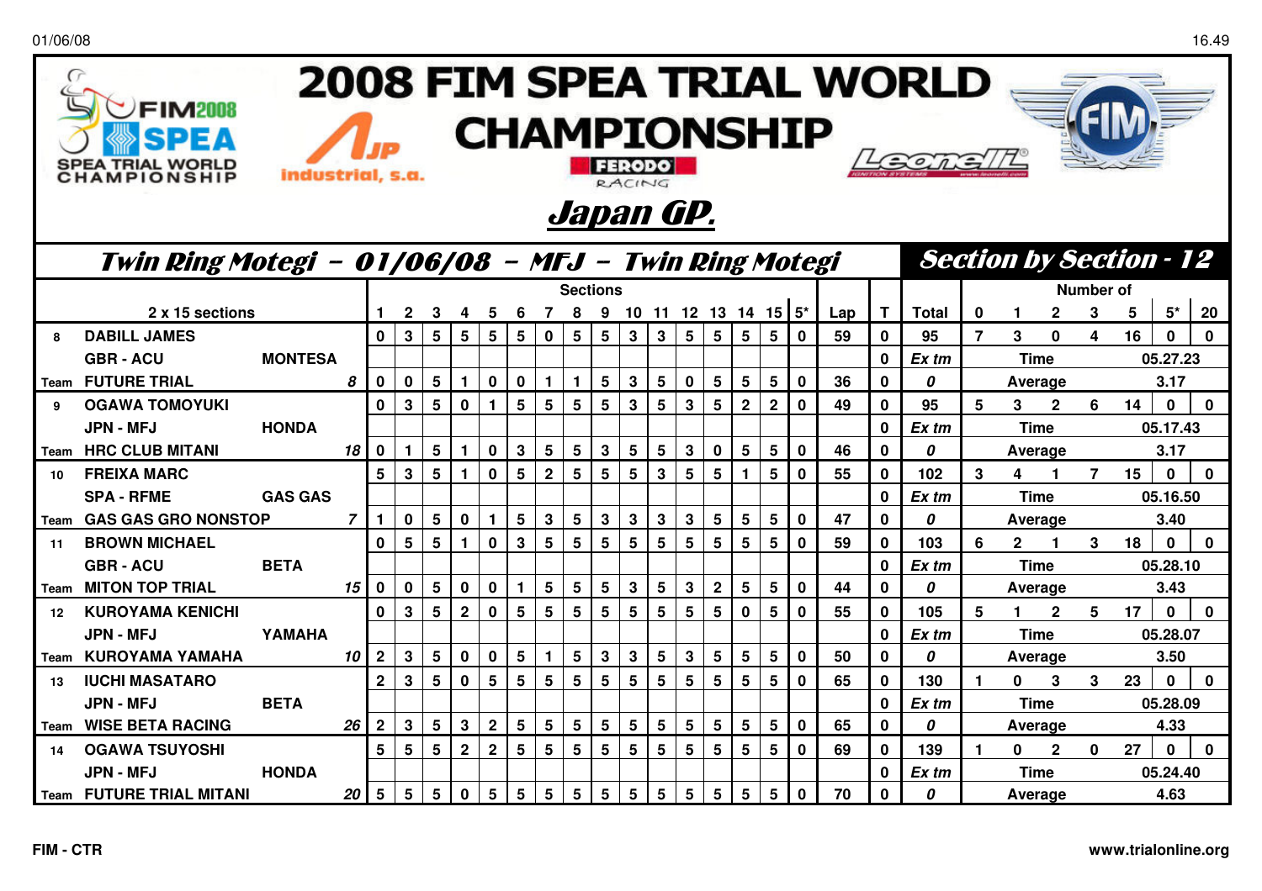| 2008 FIM SPEA TRIAL WORLD<br>FIM2008<br><b>CHAMPIONSHIP</b><br>EA TRIAL WORLD<br>AMPIONSHIP<br>industrial, s.a.<br>RACING<br>Japan GP. |                                 |                                                      |                |                      |                         |                 |              |                |                |                 |                 |              |                 |              |                 |                         |                                |                           |              |     |              |                  |                      |                |                  |              |    |              |              |
|----------------------------------------------------------------------------------------------------------------------------------------|---------------------------------|------------------------------------------------------|----------------|----------------------|-------------------------|-----------------|--------------|----------------|----------------|-----------------|-----------------|--------------|-----------------|--------------|-----------------|-------------------------|--------------------------------|---------------------------|--------------|-----|--------------|------------------|----------------------|----------------|------------------|--------------|----|--------------|--------------|
|                                                                                                                                        |                                 | Twin Ring Motegi - 01/06/08 - MFJ - Twin Ring Motegi |                |                      |                         |                 |              |                |                |                 |                 |              |                 |              |                 |                         | <b>Section by Section - 12</b> |                           |              |     |              |                  |                      |                |                  |              |    |              |              |
|                                                                                                                                        |                                 |                                                      |                |                      |                         |                 |              |                |                | <b>Sections</b> |                 |              |                 |              |                 |                         |                                |                           |              |     |              |                  |                      |                | <b>Number of</b> |              |    |              |              |
|                                                                                                                                        | 2 x 15 sections                 |                                                      |                |                      | $\mathbf{2}$            | 3               | 4            | 5              | 6              | $\overline{7}$  | 8               |              |                 |              |                 |                         |                                | 9 10 11 12 13 14 15 $5^*$ |              | Lap | Т            | Total            | $\bf{0}$             |                | $\mathbf{2}$     | 3            | 5  | $5^*$        | 20           |
| я                                                                                                                                      | <b>DABILL JAMES</b>             |                                                      |                | $\mathbf{0}$         | $\mathbf{3}$            | 5               | 5            | 5              | 5              | $\mathbf 0$     | 5               | 5            | $\mathbf 3$     | $\mathbf{3}$ | $5\phantom{.0}$ | 5                       | 5 <sup>1</sup>                 | $5\phantom{1}$            | $\mathbf 0$  | 59  | $\bf{0}$     | 95               | 7                    | 3              | 0                | 4            | 16 | $\bf{0}$     | $\mathbf{0}$ |
|                                                                                                                                        | <b>GBR-ACU</b>                  | <b>MONTESA</b>                                       |                |                      |                         |                 |              |                |                |                 |                 |              |                 |              |                 |                         |                                |                           |              |     | $\bf{0}$     | Ex tm            |                      |                | <b>Time</b>      |              |    | 05.27.23     |              |
|                                                                                                                                        | <b>Team FUTURE TRIAL</b>        |                                                      | 8              | $\mathbf 0$          | $\mathbf 0$             | $5\phantom{1}$  | $\mathbf{1}$ | $\mathbf 0$    | $\mathbf 0$    |                 | $\mathbf{1}$    | 5            | $\mathbf 3$     | 5            | $\bf{0}$        | 5                       | 5 <sup>1</sup>                 | $5\phantom{1}$            | $\mathbf 0$  | 36  | $\mathbf 0$  | $\boldsymbol{0}$ |                      |                | Average          |              |    | 3.17         |              |
| $\mathbf{q}$                                                                                                                           | <b>OGAWA TOMOYUKI</b>           |                                                      |                | $\mathbf 0$          | $\mathbf{3}$            | $5\phantom{1}$  | $\mathbf 0$  | $\blacksquare$ | 5              | 5               | 5               | 5            | 3               | 5            | 3               | 5                       | 2 <sup>1</sup>                 | $\overline{2}$            | $\mathbf 0$  | 49  | $\mathbf{0}$ | 95               | 5                    | 3 <sup>1</sup> | $\mathbf{2}$     | 6            | 14 | $\Omega$     | $\bf{0}$     |
|                                                                                                                                        | <b>JPN - MFJ</b>                | <b>HONDA</b>                                         |                |                      |                         |                 |              |                |                |                 |                 |              |                 |              |                 |                         |                                |                           |              |     | $\mathbf 0$  | Ex tm            |                      |                | <b>Time</b>      |              |    | 05.17.43     |              |
|                                                                                                                                        | <b>Team HRC CLUB MITANI</b>     |                                                      | 18             | $\mathbf 0$          | $\mathbf{1}$            | $5\phantom{1}$  | $\mathbf{1}$ | $\mathbf 0$    | $\mathbf{3}$   | 5               | $5\phantom{.0}$ | $\mathbf{3}$ | $5\phantom{.0}$ | 5            | $\mathbf{3}$    | $\mathbf{0}$            | 5 <sup>1</sup>                 | $5\phantom{1}$            | $\mathbf 0$  | 46  | $\mathbf{0}$ | $\boldsymbol{0}$ |                      |                | Average          |              |    | 3.17         |              |
| 10                                                                                                                                     | <b>FREIXA MARC</b>              |                                                      |                | 5                    | $\overline{\mathbf{3}}$ | 5               | 1            | $\mathbf 0$    | 5              | $\mathbf{2}$    | 5               | 5            | $5\phantom{a}$  | 3            | 5               | 5                       | $\mathbf{1}$                   | 5                         | $\mathbf{0}$ | 55  | $\mathbf 0$  | 102              | 3                    | 4              | 1                | 7            | 15 | $\mathbf{0}$ | $\mathbf 0$  |
|                                                                                                                                        | <b>SPA - RFME</b>               | <b>GAS GAS</b>                                       |                |                      |                         |                 |              |                |                |                 |                 |              |                 |              |                 |                         |                                |                           |              |     | $\bf{0}$     | Ex tm            |                      | <b>Time</b>    |                  | 05.16.50     |    |              |              |
| Team                                                                                                                                   | <b>GAS GAS GRO NONSTOP</b>      |                                                      | $\overline{7}$ | $\blacktriangleleft$ | $\bf{0}$                | $5\phantom{1}$  | $\mathbf 0$  | $\mathbf{1}$   | 5              | $3\phantom{a}$  | 5               | 3            | 3               | 3            | 3               | 5                       | 5 <sub>5</sub>                 | 5                         | $\mathbf 0$  | 47  | $\mathbf 0$  | 0                |                      |                | Average          |              |    | 3.40         |              |
| 11                                                                                                                                     | <b>BROWN MICHAEL</b>            |                                                      |                | $\mathbf{0}$         | $5\phantom{1}$          | $5\phantom{1}$  | 1            | $\mathbf{0}$   | $\overline{3}$ | 5               | 5               | 5            | 5               | 5            | $5\phantom{1}$  | 5                       | 5 <sup>1</sup>                 | 5                         | $\mathbf{0}$ | 59  | $\bf{0}$     | 103              | 6                    | $2^{\circ}$    | 1                | 3            | 18 | $\bf{0}$     | $\Omega$     |
|                                                                                                                                        | <b>GBR-ACU</b>                  | <b>BETA</b>                                          |                |                      |                         |                 |              |                |                |                 |                 |              |                 |              |                 |                         |                                |                           |              |     | $\mathbf 0$  | $Ex$ tm          |                      |                | <b>Time</b>      |              |    | 05.28.10     |              |
| Team                                                                                                                                   | <b>MITON TOP TRIAL</b>          |                                                      | 15             | $\mathbf 0$          | $\mathbf 0$             | $5\phantom{1}$  | $\mathbf 0$  | $\mathbf 0$    | $\mathbf 1$    | 5               | 5               | 5            | 3               | 5            | $\mathbf{3}$    | $\overline{\mathbf{2}}$ | $5\phantom{.0}$                | $5\phantom{1}$            | $\mathbf 0$  | 44  | $\mathbf{0}$ | 0                |                      |                | Average          |              |    | 3.43         |              |
| $12 \overline{ }$                                                                                                                      | <b>KUROYAMA KENICHI</b>         |                                                      |                | $\mathbf 0$          | $\mathbf{3}$            | 5               | $\mathbf{2}$ | $\mathbf 0$    | 5              | 5               | 5               | 5            | 5               | 5            | 5               | 5                       | $\mathbf 0$                    | 5                         | $\mathbf 0$  | 55  | $\mathbf 0$  | 105              | 5                    |                | $\overline{2}$   | 5            | 17 | $\mathbf{0}$ | $\mathbf{0}$ |
|                                                                                                                                        | <b>JPN - MFJ</b>                | YAMAHA                                               |                |                      |                         |                 |              |                |                |                 |                 |              |                 |              |                 |                         |                                |                           |              |     | $\mathbf 0$  | Ex tm            |                      |                | <b>Time</b>      |              |    | 05.28.07     |              |
|                                                                                                                                        | <b>Team KUROYAMA YAMAHA</b>     |                                                      | 10             | $\mathbf{2}$         | 3                       | $5\phantom{.0}$ | $\mathbf 0$  | $\mathbf 0$    | 5              |                 | 5               | 3            | 3               | 5            | 3               | 5                       | 5                              | 5                         | $\mathbf 0$  | 50  | $\mathbf 0$  | 0                |                      |                | Average          |              |    | 3.50         |              |
| 13                                                                                                                                     | <b>IUCHI MASATARO</b>           |                                                      |                | $2^{\circ}$          | $\mathbf{3}$            | 5               | $\mathbf 0$  | 5              | 5              | 5               | 5               | 5            | 5               | 5            | 5               | 5                       | 5 <sup>1</sup>                 | $5\phantom{1}$            | $\mathbf{0}$ | 65  | $\mathbf{0}$ | 130              |                      | $\mathbf{0}$   | 3                | $\mathbf{3}$ | 23 | $\Omega$     | $\mathbf 0$  |
|                                                                                                                                        | <b>JPN - MFJ</b>                | <b>BETA</b>                                          |                |                      |                         |                 |              |                |                |                 |                 |              |                 |              |                 |                         |                                |                           |              |     | $\mathbf 0$  | Ex tm            |                      |                | <b>Time</b>      |              |    | 05.28.09     |              |
| Team                                                                                                                                   | <b>WISE BETA RACING</b>         |                                                      | 26             | $\mathbf{2}$         | $\mathbf{3}$            | $5\phantom{1}$  | $\mathbf{3}$ | $\mathbf{2}$   | 5              | 5               | 5               | 5            | 5               | 5            | 5               | 5                       | 5 <sup>1</sup>                 | $5\phantom{1}$            | $\mathbf 0$  | 65  | $\mathbf 0$  | 0                |                      |                | Average          |              |    | 4.33         |              |
| 14                                                                                                                                     | <b>OGAWA TSUYOSHI</b>           |                                                      |                | 5                    | $5\phantom{1}$          | $5\phantom{.0}$ | $\mathbf{2}$ | $2^{\circ}$    | 5              | 5               | 5               | 5            | 5               | 5            | $5\phantom{.0}$ | 5                       | 5 <sup>1</sup>                 | $5\phantom{1}$            | $\mathbf 0$  | 69  | $\mathbf 0$  | 139              | $\blacktriangleleft$ | 0              | $\mathbf{2}$     | $\mathbf 0$  | 27 | $\mathbf 0$  | $\mathbf 0$  |
|                                                                                                                                        | <b>JPN - MFJ</b>                | <b>HONDA</b>                                         |                |                      |                         |                 |              |                |                |                 |                 |              |                 |              |                 |                         |                                |                           |              |     | $\bf{0}$     | Ex tm            |                      |                | <b>Time</b>      |              |    | 05.24.40     |              |
|                                                                                                                                        | <b>Team FUTURE TRIAL MITANI</b> |                                                      | 20             | $5\phantom{1}$       | 5                       | 5               | $\mathbf 0$  | 5              | 5              | 5               | 5               | 5            | 5               | 5            | 5               | 5                       | 5                              | 5                         | $\mathbf{0}$ | 70  | $\bf{0}$     | $\boldsymbol{0}$ |                      |                | Average          |              |    | 4.63         |              |